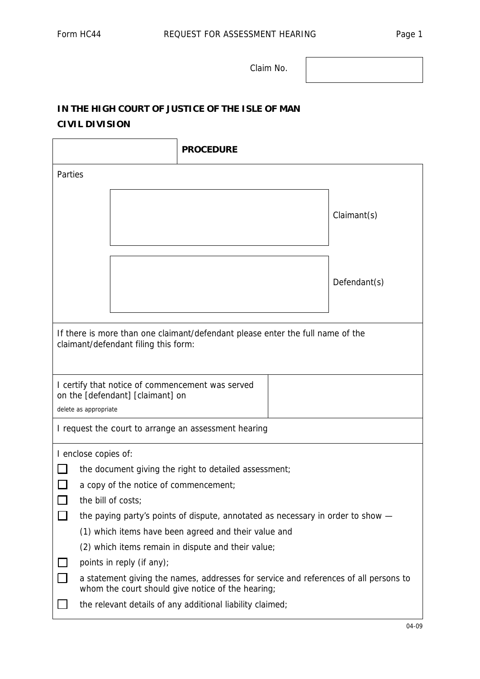Claim No.

## **IN THE HIGH COURT OF JUSTICE OF THE ISLE OF MAN CIVIL DIVISION**

|                                                                                                                        |                                                                                                                                                                                                        | <b>PROCEDURE</b> |  |              |
|------------------------------------------------------------------------------------------------------------------------|--------------------------------------------------------------------------------------------------------------------------------------------------------------------------------------------------------|------------------|--|--------------|
| Parties                                                                                                                |                                                                                                                                                                                                        |                  |  |              |
|                                                                                                                        |                                                                                                                                                                                                        |                  |  | Claimant(s)  |
|                                                                                                                        |                                                                                                                                                                                                        |                  |  | Defendant(s) |
| If there is more than one claimant/defendant please enter the full name of the<br>claimant/defendant filing this form: |                                                                                                                                                                                                        |                  |  |              |
| I certify that notice of commencement was served<br>on the [defendant] [claimant] on<br>delete as appropriate          |                                                                                                                                                                                                        |                  |  |              |
| I request the court to arrange an assessment hearing                                                                   |                                                                                                                                                                                                        |                  |  |              |
| I enclose copies of:                                                                                                   |                                                                                                                                                                                                        |                  |  |              |
|                                                                                                                        | the document giving the right to detailed assessment;<br>a copy of the notice of commencement;                                                                                                         |                  |  |              |
|                                                                                                                        |                                                                                                                                                                                                        |                  |  |              |
| the bill of costs;<br>the paying party's points of dispute, annotated as necessary in order to show -                  |                                                                                                                                                                                                        |                  |  |              |
|                                                                                                                        |                                                                                                                                                                                                        |                  |  |              |
|                                                                                                                        | (1) which items have been agreed and their value and                                                                                                                                                   |                  |  |              |
|                                                                                                                        | (2) which items remain in dispute and their value;                                                                                                                                                     |                  |  |              |
|                                                                                                                        | points in reply (if any);                                                                                                                                                                              |                  |  |              |
| П                                                                                                                      | a statement giving the names, addresses for service and references of all persons to<br>whom the court should give notice of the hearing;<br>the relevant details of any additional liability claimed; |                  |  |              |
|                                                                                                                        |                                                                                                                                                                                                        |                  |  |              |